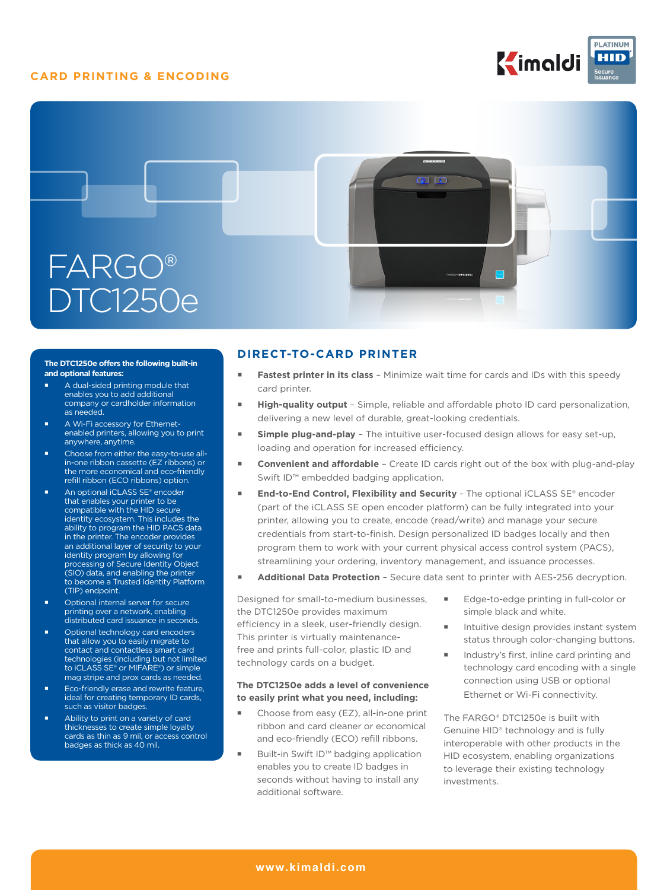## **CARD PRINTING & ENCODING**





#### **The DTC1250e offers the following built-in and optional features:**

- A dual-sided printing module that enables you to add additional company or cardholder information as needed.
- A Wi-Fi accessory for Ethernetenabled printers, allowing you to print anywhere, anytime.
- **Choose from either the easy-to-use all**in-one ribbon cassette (EZ ribbons) or the more economical and eco-friendly refill ribbon (ECO ribbons) option.
- An optional iCLASS SE® encoder that enables your printer to be compatible with the HID secure identity ecosystem. This includes the ability to program the HID PACS data in the printer. The encoder provides an additional layer of security to your identity program by allowing for processing of Secure Identity Object (SIO) data, and enabling the printer to become a Trusted Identity Platform (TIP) endpoint.
- Optional internal server for secure printing over a network, enabling distributed card issuance in seconds.
- Optional technology card encoders that allow you to easily migrate to contact and contactless smart card technologies (including but not limited to iCLASS SE® or MIFARE®) or simple mag stripe and prox cards as needed.
- **Eco-friendly erase and rewrite feature,** ideal for creating temporary ID cards, such as visitor badges.
- Ability to print on a variety of card thicknesses to create simple loyalty cards as thin as 9 mil, or access control badges as thick as 40 mil.

## **DIRECT-TO-CARD PRINTER**

- **Fastest printer in its class** Minimize wait time for cards and IDs with this speedy card printer.
- **High-quality output** Simple, reliable and affordable photo ID card personalization, delivering a new level of durable, great-looking credentials.
- **Simple plug-and-play** The intuitive user-focused design allows for easy set-up, loading and operation for increased efficiency.
- **Convenient and affordable** Create ID cards right out of the box with plug-and-play Swift ID™ embedded badging application.
- **End-to-End Control, Flexibility and Security** The optional iCLASS SE® encoder (part of the iCLASS SE open encoder platform) can be fully integrated into your printer, allowing you to create, encode (read/write) and manage your secure credentials from start-to-finish. Design personalized ID badges locally and then program them to work with your current physical access control system (PACS), streamlining your ordering, inventory management, and issuance processes.
- **Additional Data Protection -** Secure data sent to printer with AES-256 decryption.

Designed for small-to-medium businesses, the DTC1250e provides maximum efficiency in a sleek, user-friendly design. This printer is virtually maintenancefree and prints full-color, plastic ID and technology cards on a budget.

#### **The DTC1250e adds a level of convenience to easily print what you need, including:**

- Choose from easy (EZ), all-in-one print ribbon and card cleaner or economical and eco-friendly (ECO) refill ribbons.
- Built-in Swift ID™ badging application enables you to create ID badges in seconds without having to install any additional software.
- Edge-to-edge printing in full-color or simple black and white.
- Intuitive design provides instant system status through color-changing buttons.
- Industry's first, inline card printing and technology card encoding with a single connection using USB or optional Ethernet or Wi-Fi connectivity.

The FARGO® DTC1250e is built with Genuine HID® technology and is fully interoperable with other products in the HID ecosystem, enabling organizations to leverage their existing technology investments.